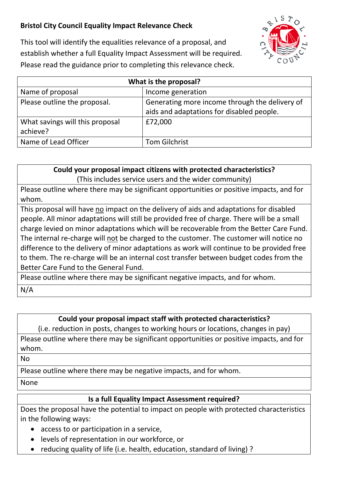## **Bristol City Council Equality Impact Relevance Check**



This tool will identify the equalities relevance of a proposal, and establish whether a full Equality Impact Assessment will be required. Please read the guidance prior to completing this relevance check.

| What is the proposal?                       |                                                                                             |
|---------------------------------------------|---------------------------------------------------------------------------------------------|
| Name of proposal                            | Income generation                                                                           |
| Please outline the proposal.                | Generating more income through the delivery of<br>aids and adaptations for disabled people. |
| What savings will this proposal<br>achieve? | £72,000                                                                                     |
| Name of Lead Officer                        | <b>Tom Gilchrist</b>                                                                        |

**Could your proposal impact citizens with protected characteristics?** (This includes service users and the wider community)

Please outline where there may be significant opportunities or positive impacts, and for whom.

This proposal will have no impact on the delivery of aids and adaptations for disabled people. All minor adaptations will still be provided free of charge. There will be a small charge levied on minor adaptations which will be recoverable from the Better Care Fund. The internal re-charge will not be charged to the customer. The customer will notice no difference to the delivery of minor adaptations as work will continue to be provided free to them. The re-charge will be an internal cost transfer between budget codes from the Better Care Fund to the General Fund.

Please outline where there may be significant negative impacts, and for whom.

N/A

## **Could your proposal impact staff with protected characteristics?**

(i.e. reduction in posts, changes to working hours or locations, changes in pay) Please outline where there may be significant opportunities or positive impacts, and for whom.

No

Please outline where there may be negative impacts, and for whom.

None

## **Is a full Equality Impact Assessment required?**

Does the proposal have the potential to impact on people with protected characteristics in the following ways:

- access to or participation in a service,
- levels of representation in our workforce, or
- reducing quality of life (i.e. health, education, standard of living) ?